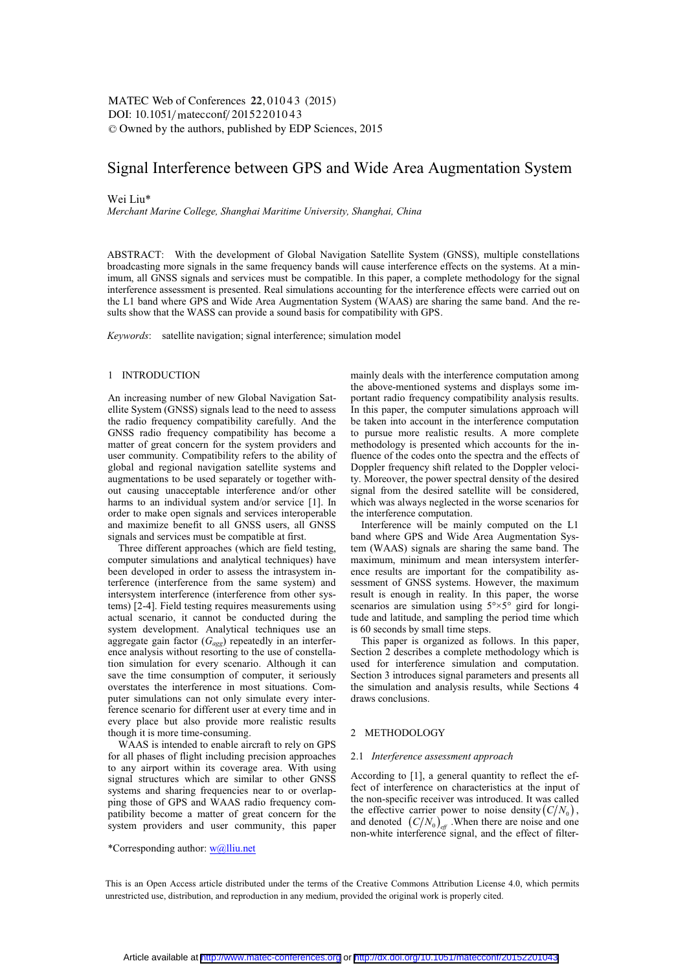# Signal Interference between GPS and Wide Area Augmentation System

### Wei Liu\*

*Merchant Marine College, Shanghai Maritime University, Shanghai, China*

ABSTRACT: With the development of Global Navigation Satellite System (GNSS), multiple constellations broadcasting more signals in the same frequency bands will cause interference effects on the systems. At a minimum, all GNSS signals and services must be compatible. In this paper, a complete methodology for the signal interference assessment is presented. Real simulations accounting for the interference effects were carried out on the L1 band where GPS and Wide Area Augmentation System (WAAS) are sharing the same band. And the results show that the WASS can provide a sound basis for compatibility with GPS.

*Keywords*: satellite navigation; signal interference; simulation model

### 1 INTRODUCTION

An increasing number of new Global Navigation Satellite System (GNSS) signals lead to the need to assess the radio frequency compatibility carefully. And the GNSS radio frequency compatibility has become a matter of great concern for the system providers and user community. Compatibility refers to the ability of global and regional navigation satellite systems and augmentations to be used separately or together without causing unacceptable interference and/or other harms to an individual system and/or service [1]. In order to make open signals and services interoperable and maximize benefit to all GNSS users, all GNSS signals and services must be compatible at first.

Three different approaches (which are field testing, computer simulations and analytical techniques) have been developed in order to assess the intrasystem interference (interference from the same system) and intersystem interference (interference from other systems) [2-4]. Field testing requires measurements using actual scenario, it cannot be conducted during the system development. Analytical techniques use an aggregate gain factor  $(G_{\text{avg}})$  repeatedly in an interference analysis without resorting to the use of constellation simulation for every scenario. Although it can save the time consumption of computer, it seriously overstates the interference in most situations. Computer simulations can not only simulate every interference scenario for different user at every time and in every place but also provide more realistic results though it is more time-consuming.

WAAS is intended to enable aircraft to rely on GPS for all phases of flight including precision approaches to any airport within its coverage area. With using signal structures which are similar to other GNSS systems and sharing frequencies near to or overlapping those of GPS and WAAS radio frequency compatibility become a matter of great concern for the system providers and user community, this paper

\*Corresponding author: w@lliu.net

mainly deals with the interference computation among the above-mentioned systems and displays some important radio frequency compatibility analysis results. In this paper, the computer simulations approach will be taken into account in the interference computation to pursue more realistic results. A more complete methodology is presented which accounts for the influence of the codes onto the spectra and the effects of Doppler frequency shift related to the Doppler velocity. Moreover, the power spectral density of the desired signal from the desired satellite will be considered, which was always neglected in the worse scenarios for the interference computation.

Interference will be mainly computed on the L1 band where GPS and Wide Area Augmentation System (WAAS) signals are sharing the same band. The maximum, minimum and mean intersystem interference results are important for the compatibility assessment of GNSS systems. However, the maximum result is enough in reality. In this paper, the worse scenarios are simulation using  $5^{\circ} \times 5^{\circ}$  gird for longitude and latitude, and sampling the period time which is 60 seconds by small time steps.

This paper is organized as follows. In this paper, Section 2 describes a complete methodology which is used for interference simulation and computation. Section 3 introduces signal parameters and presents all the simulation and analysis results, while Sections 4 draws conclusions.

### 2 METHODOLOGY

#### 2.1 *Interference assessment approach*

According to [1], a general quantity to reflect the effect of interference on characteristics at the input of the non-specific receiver was introduced. It was called the effective carrier power to noise density  $(C/N_0)$ , and denoted  $(C/N_0)_{\text{eff}}$ . When there are noise and one non-white interference signal, and the effect of filter-  $\left(C/N_0\right)_{\text{eff}}$ 

This is an Open Access article distributed under the terms of the Creative Commons Attribution License 4.0, which permits unrestricted use, distribution, and reproduction in any medium, provided the original work is properly cited.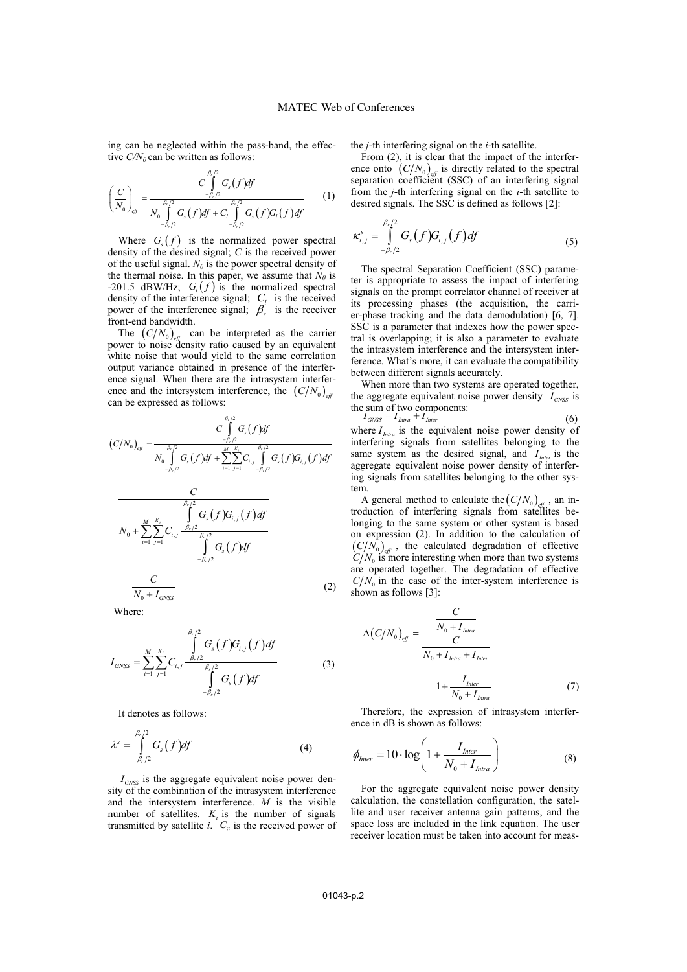ing can be neglected within the pass-band, the effective  $C/N_0$  can be written as follows:

$$
\left(\frac{C}{N_0}\right)_{\text{eff}} = \frac{C \int_{-\beta_r/2}^{\beta_r/2} G_s(f) df}{N_0 \int_{-\beta_r/2}^{\beta_r/2} G_s(f) df + C_1 \int_{-\beta_r/2}^{\beta_r/2} G_s(f) G_i(f) df} \tag{1}
$$

Where  $G_s(f)$  is the normalized power spectral density of the desired signal; *C* is the received power of the useful signal.  $N_0$  is the power spectral density of the thermal noise. In this paper, we assume that  $N_0$  is -201.5 dBW/Hz;  $G_l(f)$  is the normalized spectral density of the interference signal;  $C_i$  is the received power of the interference signal;  $\beta_r$  is the receiver front-end bandwidth.  $C$ <sup>l</sup>  $\beta_{\scriptscriptstyle r}$ 

The  $(C/N_0)_{\text{eff}}$  can be interpreted as the carrier power to noise density ratio caused by an equivalent white noise that would yield to the same correlation output variance obtained in presence of the interference signal. When there are the intrasystem interference and the intersystem interference, the  $(C/N_0)_{eq}$ can be expressed as follows:  $\left(C/N_0\right)_{\textit{eff}}$ 

$$
(C/N_0)_{eff} = \frac{C \int_{-\beta_r/2}^{\beta_r/2} G_s(f) df}{N_0 \int_{-\beta_r/2}^{\beta_r/2} G_s(f) df + \sum_{i=1}^M \sum_{j=1}^{K_i} C_{i,j} \int_{-\beta_r/2}^{\beta_r/2} G_s(f) G_{i,j}(f) df}
$$

$$
= \frac{C}{N_0 + \sum_{i=1}^{M} \sum_{j=1}^{K_i} C_{i,j} \frac{\int_{\beta_r/2}^{\beta_r/2} G_s(f) G_{i,j}(f) df}{\int_{-\beta_r/2}^{\beta_r/2} G_s(f) df}}
$$

$$
= \frac{C}{N_0 + I_{\text{GNSS}}}
$$
(2)

Where:

$$
I_{GNSS} = \sum_{i=1}^{M} \sum_{j=1}^{K_i} C_{i,j} \frac{\int_{\beta_r/2}^{\beta_r/2} G_s(f) G_{i,j}(f) df}{\int_{-\beta_r/2}^{\beta_r/2} G_s(f) df}
$$
(3)

It denotes as follows:

$$
\lambda^s = \int_{-\beta_r/2}^{\beta_r/2} G_s\left(f\right) df \tag{4}
$$

 $I_{GNSS}$  is the aggregate equivalent noise power density of the combination of the intrasystem interference and the intersystem interference. *M* is the visible number of satellites.  $K_i$  is the number of signals transmitted by satellite *i*.  $C_{ij}$  is the received power of the *j*-th interfering signal on the *i*-th satellite.

From (2), it is clear that the impact of the interference onto  $(C/N_0)_{\text{eff}}$  is directly related to the spectral separation coefficient (SSC) of an interfering signal from the *j*-th interfering signal on the *i*-th satellite to desired signals. The SSC is defined as follows [2]:

$$
\kappa_{i,j}^s = \int\limits_{-\beta_r/2}^{\beta_r/2} G_s(f) G_{i,j}(f) df
$$
\n(5)

The spectral Separation Coefficient (SSC) parameter is appropriate to assess the impact of interfering signals on the prompt correlator channel of receiver at its processing phases (the acquisition, the carrier-phase tracking and the data demodulation) [6, 7]. SSC is a parameter that indexes how the power spectral is overlapping; it is also a parameter to evaluate the intrasystem interference and the intersystem interference. What's more, it can evaluate the compatibility between different signals accurately.

When more than two systems are operated together, the aggregate equivalent noise power density  $I_{GNSS}$  is the sum of two components:  $I_{GNSS} = I_{Intra} + I_{Inter}$ 

 (6) where  $I_{\text{Intra}}$  is the equivalent noise power density of interfering signals from satellites belonging to the same system as the desired signal, and  $I<sub>Inter</sub>$  is the aggregate equivalent noise power density of interfering signals from satellites belonging to the other system.

A general method to calculate the  $(C/N_0)_{eff}$ , an introduction of interfering signals from satellites belonging to the same system or other system is based on expression (2). In addition to the calculation of  $(C/N_0)_{\text{eff}}$ , the calculated degradation of effective  $C/N_0$  is more interesting when more than two systems are operated together. The degradation of effective  $C/N_0$  in the case of the inter-system interference is shown as follows [3]:

$$
\Delta(C/N_0)_{\text{eff}} = \frac{\frac{C}{N_0 + I_{\text{Intra}}}}{\frac{C}{N_0 + I_{\text{Intra}} + I_{\text{Inter}}}}
$$

$$
= 1 + \frac{I_{\text{Inter}}}{N_0 + I_{\text{Intra}}}
$$
(7)

Therefore, the expression of intrasystem interference in dB is shown as follows:

$$
\phi_{\text{Inter}} = 10 \cdot \log \left( 1 + \frac{I_{\text{Inter}}}{N_0 + I_{\text{Intra}}} \right) \tag{8}
$$

For the aggregate equivalent noise power density calculation, the constellation configuration, the satellite and user receiver antenna gain patterns, and the space loss are included in the link equation. The user receiver location must be taken into account for meas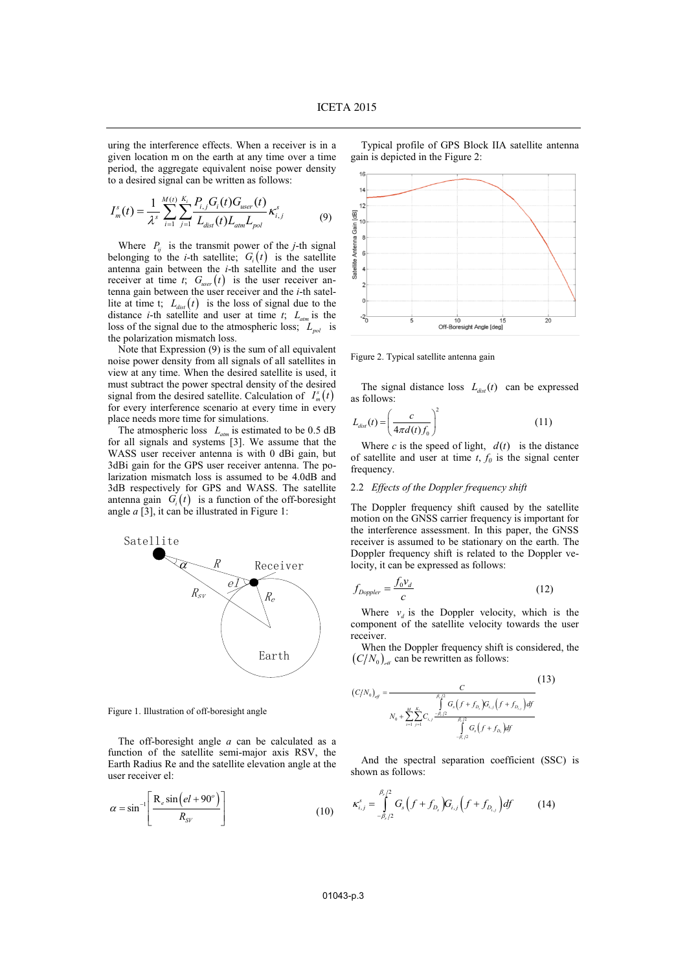uring the interference effects. When a receiver is in a given location m on the earth at any time over a time period, the aggregate equivalent noise power density to a desired signal can be written as follows:

$$
I_m^s(t) = \frac{1}{\lambda^s} \sum_{i=1}^{M(t)} \sum_{j=1}^{K_i} \frac{P_{i,j} G_i(t) G_{user}(t)}{L_{dist}(t) L_{atm} L_{pol}} \kappa_{i,j}^s
$$
(9)

Where  $P_{ii}$  is the transmit power of the *j*-th signal belonging to the *i*-th satellite;  $G_i(t)$  is the satellite antenna gain between the *i*-th satellite and the user receiver at time *t*;  $G_{user}(t)$  is the user receiver antenna gain between the user receiver and the *i*-th satellite at time t;  $L_{dist}(t)$  is the loss of signal due to the distance *i*-th satellite and user at time *t*;  $L_{atm}$  is the loss of the signal due to the atmospheric loss;  $L_{pol}$  is the polarization mismatch loss.  $P_{ij}$  is the transmit power control to the *i*-th satellite;  $G_i(t)$ 

Note that Expression (9) is the sum of all equivalent noise power density from all signals of all satellites in view at any time. When the desired satellite is used, it must subtract the power spectral density of the desired signal from the desired satellite. Calculation of  $I_m^s(t)$ for every interference scenario at every time in every place needs more time for simulations.

The atmospheric loss  $L_{atm}$  is estimated to be 0.5 dB for all signals and systems [3]. We assume that the WASS user receiver antenna is with 0 dBi gain, but 3dBi gain for the GPS user receiver antenna. The polarization mismatch loss is assumed to be 4.0dB and 3dB respectively for GPS and WASS. The satellite antenna gain  $G_i(t)$  is a function of the off-boresight angle *a* [3], it can be illustrated in Figure 1:



Figure 1. Illustration of off-boresight angle

The off-boresight angle *a* can be calculated as a function of the satellite semi-major axis RSV, the Earth Radius Re and the satellite elevation angle at the user receiver el:

$$
\alpha = \sin^{-1} \left[ \frac{R_e \sin \left( el + 90^{\circ} \right)}{R_{\rm SV}} \right] \tag{10}
$$

Typical profile of GPS Block IIA satellite antenna gain is depicted in the Figure 2:



Figure 2. Typical satellite antenna gain

The signal distance loss  $L_{dist}(t)$  can be expressed as follows:

$$
L_{dis}(t) = \left(\frac{c}{4\pi d(t)f_0}\right)^2\tag{11}
$$

Where  $c$  is the speed of light,  $d(t)$  is the distance of satellite and user at time  $t, f_0$  is the signal center frequency.

# 2.2 *Effects of the Doppler frequency shift*

The Doppler frequency shift caused by the satellite motion on the GNSS carrier frequency is important for the interference assessment. In this paper, the GNSS receiver is assumed to be stationary on the earth. The Doppler frequency shift is related to the Doppler velocity, it can be expressed as follows:

$$
f_{Doppler} = \frac{f_0 v_d}{c} \tag{12}
$$

Where  $v_d$  is the Doppler velocity, which is the component of the satellite velocity towards the user receiver.

When the Doppler frequency shift is considered, the  $(C/N_0)_{\text{cm}}$  can be rewritten as follows:

$$
(C/N_0)_{gf} = \frac{C}{N_0 + \sum_{i=1}^{M} \sum_{j=1}^{K_i} C_{i,j} \frac{\int_{\beta_i f_2}^{\beta_i f_2} G_s(f + f_{D_s}) G_{i,j}(f + f_{D_{i,j}}) df}{\int_{\beta_i f_2}^{\beta_i f_2} G_s(f + f_{D_s}) df}}
$$
(13)

And the spectral separation coefficient (SSC) is shown as follows:

$$
\kappa_{i,j}^s = \int_{-\beta_r/2}^{\beta_r/2} G_s \left( f + f_{D_s} \right) G_{i,j} \left( f + f_{D_{i,j}} \right) df \tag{14}
$$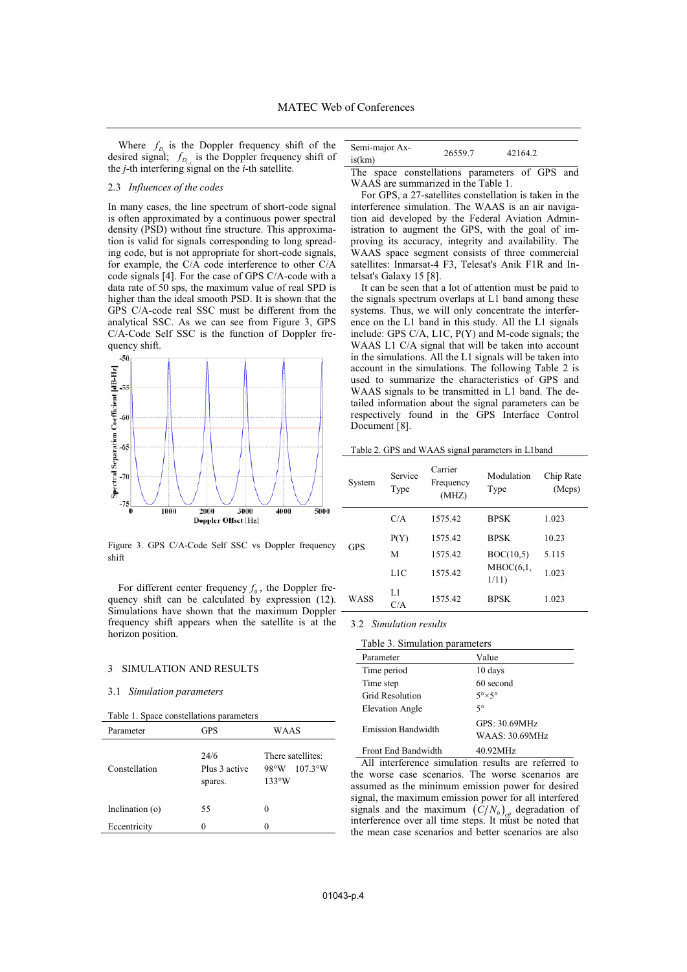Where  $f_{\text{D}}$  is the Doppler frequency shift of the Where  $f_{D_i}$  is the Doppler frequency shift of the desired signal;  $f_{D_i}$  is the Doppler frequency shift of the *j*-th interfering signal on the *i*-th satellite.  $f_{\bar{D}_{i,j}}$ 

#### 2.3 *Influences of the codes*

In many cases, the line spectrum of short-code signal is often approximated by a continuous power spectral density (PSD) without fine structure. This approximation is valid for signals corresponding to long spreading code, but is not appropriate for short-code signals, for example, the C/A code interference to other C/A code signals [4]. For the case of GPS C/A-code with a data rate of 50 sps, the maximum value of real SPD is higher than the ideal smooth PSD. It is shown that the GPS C/A-code real SSC must be different from the analytical SSC. As we can see from Figure 3, GPS C/A-Code Self SSC is the function of Doppler frequency shift.



Figure 3. GPS C/A-Code Self SSC vs Doppler frequency shift

For different center frequency  $f_0$ , the Doppler frequency shift can be calculated by expression (12). Simulations have shown that the maximum Doppler frequency shift appears when the satellite is at the horizon position.

### 3 SIMULATION AND RESULTS

#### 3.1 *Simulation parameters*

Table 1. Space constellations parameters

| Parameter       | <b>GPS</b>                       | WAAS                                                                      |  |
|-----------------|----------------------------------|---------------------------------------------------------------------------|--|
| Constellation   | 24/6<br>Plus 3 active<br>spares. | There satellites:<br>$107.3^{\circ}W$<br>$98^{\circ}W$<br>$133^{\circ}$ W |  |
| Inclination (o) | 55                               | 0                                                                         |  |
| Eccentricity    | 0                                | 0                                                                         |  |

| Semi-major Ax-<br>is(km)                        | 26559.7 | 42164.2 |  |
|-------------------------------------------------|---------|---------|--|
| The grace constellations perspectors of CDS and |         |         |  |

The space constellations parameters of GPS and WAAS are summarized in the Table 1.

For GPS, a 27-satellites constellation is taken in the interference simulation. The WAAS is an air navigation aid developed by the Federal Aviation Administration to augment the GPS, with the goal of improving its accuracy, integrity and availability. The WAAS space segment consists of three commercial satellites: Inmarsat-4 F3, Telesat's Anik F1R and Intelsat's Galaxy 15 [8].

It can be seen that a lot of attention must be paid to the signals spectrum overlaps at L1 band among these systems. Thus, we will only concentrate the interference on the L1 band in this study. All the L1 signals include: GPS C/A, L1C, P(Y) and M-code signals; the WAAS L1 C/A signal that will be taken into account in the simulations. All the L1 signals will be taken into account in the simulations. The following Table 2 is used to summarize the characteristics of GPS and WAAS signals to be transmitted in L1 band. The detailed information about the signal parameters can be respectively found in the GPS Interface Control Document [8].

Table 2. GPS and WAAS signal parameters in L1band

| System     | Service<br>Type | Carrier<br>Frequency<br>(MHZ) | Modulation<br>Type | Chip Rate<br>(Mcps) |
|------------|-----------------|-------------------------------|--------------------|---------------------|
| <b>GPS</b> | C/A             | 1575.42                       | <b>BPSK</b>        | 1.023               |
|            | P(Y)            | 1575.42                       | <b>BPSK</b>        | 10.23               |
|            | M               | 1575.42                       | BOC(10,5)          | 5.115               |
|            | L1C             | 1575.42                       | MBOC(6,1,<br>1/11) | 1.023               |
| WASS       | L1<br>C/A       | 1575.42                       | <b>BPSK</b>        | 1.023               |

3.2 *Simulation results* 

Table 3. Simulation parameters

| Parameter                 | Value                    |
|---------------------------|--------------------------|
| Time period               | 10 days                  |
| Time step                 | 60 second                |
| Grid Resolution           | $5^\circ \times 5^\circ$ |
| <b>Elevation Angle</b>    | $5^{\circ}$              |
| <b>Emission Bandwidth</b> | GPS: 30.69MHz            |
|                           | WAAS: 30.69MHz           |
| Front End Bandwidth       | 40.92MHz                 |

All interference simulation results are referred to the worse case scenarios. The worse scenarios are assumed as the minimum emission power for desired signal, the maximum emission power for all interfered signals and the maximum  $(C/N_0)$ <sub>eff</sub> degradation of interference over all time steps. It must be noted that the mean case scenarios and better scenarios are also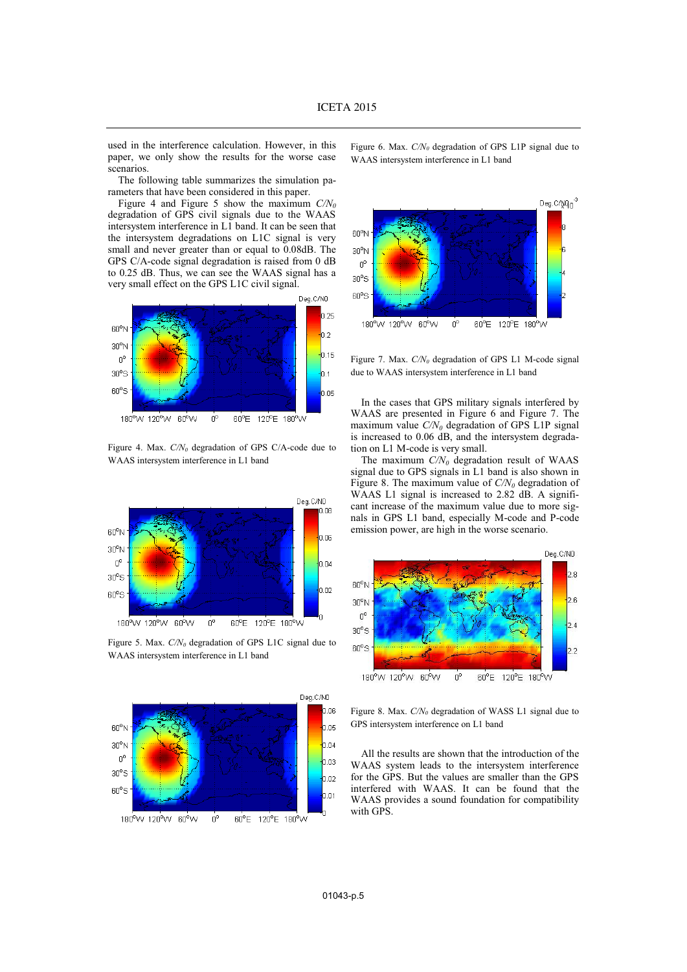used in the interference calculation. However, in this paper, we only show the results for the worse case scenarios.

The following table summarizes the simulation parameters that have been considered in this paper.

Figure 4 and Figure 5 show the maximum  $C/N_0$ degradation of GPS civil signals due to the WAAS intersystem interference in L1 band. It can be seen that the intersystem degradations on L1C signal is very small and never greater than or equal to 0.08dB. The GPS C/A-code signal degradation is raised from 0 dB to 0.25 dB. Thus, we can see the WAAS signal has a very small effect on the GPS L1C civil signal.



Figure 4. Max.  $C/N_0$  degradation of GPS C/A-code due to WAAS intersystem interference in L1 band



Figure 5. Max. *C/N0* degradation of GPS L1C signal due to WAAS intersystem interference in L1 band



Figure 6. Max.  $C/N_0$  degradation of GPS L1P signal due to WAAS intersystem interference in L1 band



Figure 7. Max.  $C/N_0$  degradation of GPS L1 M-code signal due to WAAS intersystem interference in L1 band

In the cases that GPS military signals interfered by WAAS are presented in Figure 6 and Figure 7. The maximum value  $C/N_0$  degradation of GPS L1P signal is increased to 0.06 dB, and the intersystem degradation on L1 M-code is very small.

The maximum  $C/N_0$  degradation result of WAAS signal due to GPS signals in L1 band is also shown in Figure 8. The maximum value of  $C/N_0$  degradation of WAAS L1 signal is increased to 2.82 dB. A significant increase of the maximum value due to more signals in GPS L1 band, especially M-code and P-code emission power, are high in the worse scenario.



Figure 8. Max.  $C/N_0$  degradation of WASS L1 signal due to GPS intersystem interference on L1 band

All the results are shown that the introduction of the WAAS system leads to the intersystem interference for the GPS. But the values are smaller than the GPS interfered with WAAS. It can be found that the WAAS provides a sound foundation for compatibility with GPS.